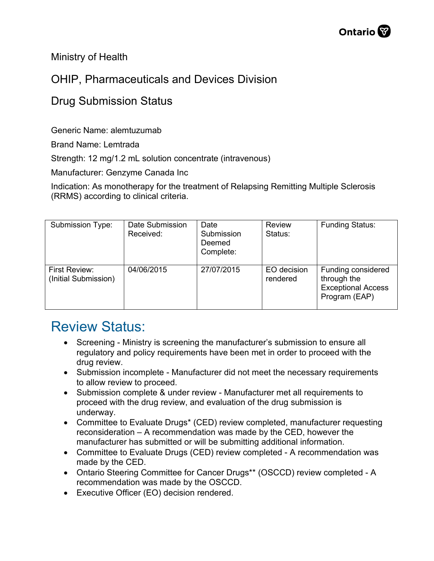Ministry of Health

## OHIP, Pharmaceuticals and Devices Division

## Drug Submission Status

Generic Name: alemtuzumab

Brand Name: Lemtrada

Strength: 12 mg/1.2 mL solution concentrate (intravenous)

Manufacturer: Genzyme Canada Inc

Indication: As monotherapy for the treatment of Relapsing Remitting Multiple Sclerosis (RRMS) according to clinical criteria.

| Submission Type:                      | Date Submission<br>Received: | Date<br>Submission<br>Deemed<br>Complete: | <b>Review</b><br>Status: | <b>Funding Status:</b>                                                          |
|---------------------------------------|------------------------------|-------------------------------------------|--------------------------|---------------------------------------------------------------------------------|
| First Review:<br>(Initial Submission) | 04/06/2015                   | 27/07/2015                                | EO decision<br>rendered  | Funding considered<br>through the<br><b>Exceptional Access</b><br>Program (EAP) |

## Review Status:

- Screening Ministry is screening the manufacturer's submission to ensure all regulatory and policy requirements have been met in order to proceed with the drug review.
- Submission incomplete Manufacturer did not meet the necessary requirements to allow review to proceed.
- Submission complete & under review Manufacturer met all requirements to proceed with the drug review, and evaluation of the drug submission is underway.
- Committee to Evaluate Drugs\* (CED) review completed, manufacturer requesting reconsideration – A recommendation was made by the CED, however the manufacturer has submitted or will be submitting additional information.
- Committee to Evaluate Drugs (CED) review completed A recommendation was made by the CED.
- Ontario Steering Committee for Cancer Drugs\*\* (OSCCD) review completed A recommendation was made by the OSCCD.
- Executive Officer (EO) decision rendered.